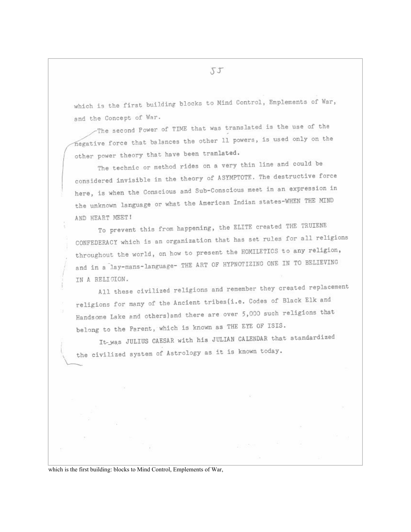which is the first building blocks to Mind Control, Emplements of War, and the Concept of War.

-The second Power of TIME that was translated is the use of the negative force that balances the other 11 powers, is used only on the other power theory that have been tranlated.

The technic or method rides on a very thin line and could be considered invisible in the theory of ASYMPTOTE. The destructive force here, is when the Conscious and Sub-Conscious meet in an expression in the unknown language or what the American Indian states-WHEN THE MIND AND HEART MEET!

To prevent this from happening, the ELITE created THE TRUIENE CONFEDERACY which is an organization that has set rules for all religions throughout the world, on how to present the HOMILETICS to any religion, and in a lay-mans-language- THE ART OF HYPNOTIZING ONE IN TO BELIEVING IN A RELIGION.

All these civilized religions and remember they created replacement religions for many of the Ancient tribes(i.e. Codes of Black Elk and Handsome Lake and others) and there are over 5,000 such religions that belong to the Parent, which is known as THE EYE OF ISIS.

It-was JULIUS CAESAR with his JULIAN CALENDAR that standardized the civilized system of Astrology as it is known today.

which is the first building: blocks to Mind Control, Emplements of War,

55